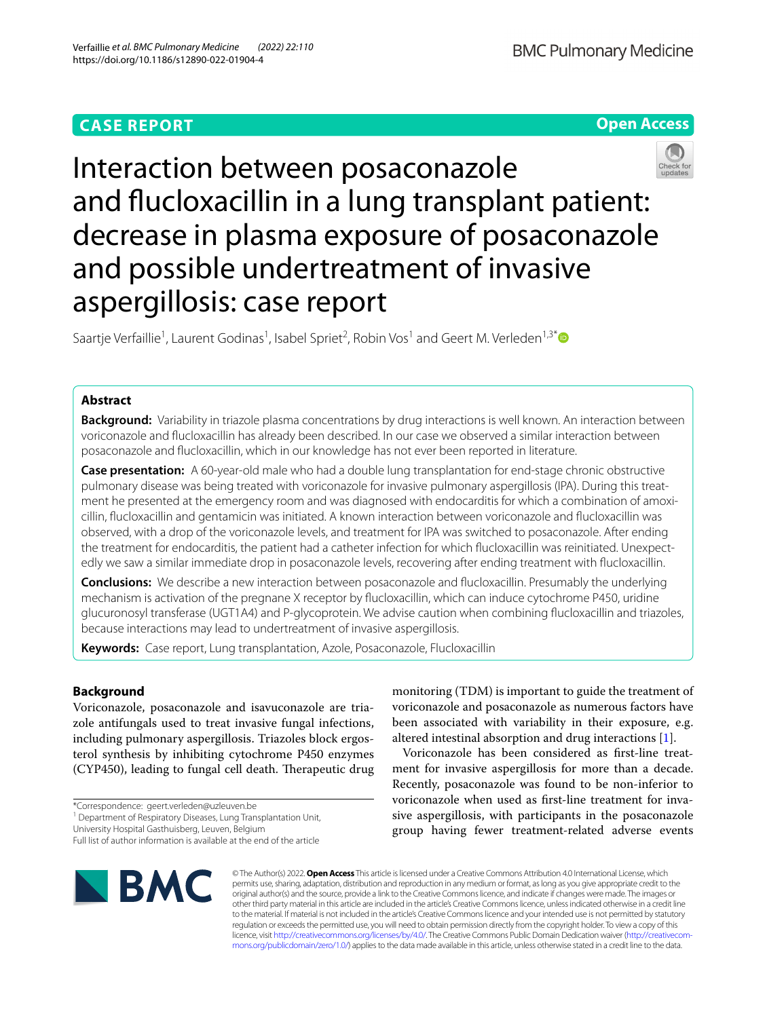# **CASE REPORT**





Interaction between posaconazole and fucloxacillin in a lung transplant patient: decrease in plasma exposure of posaconazole and possible undertreatment of invasive aspergillosis: case report

Saartje Verfaillie<sup>1</sup>, Laurent Godinas<sup>1</sup>, Isabel Spriet<sup>2</sup>, Robin Vos<sup>1</sup> and Geert M. Verleden<sup>1,3[\\*](http://orcid.org/0000-0003-3048-2429)</sup>

## **Abstract**

**Background:** Variability in triazole plasma concentrations by drug interactions is well known. An interaction between voriconazole and fucloxacillin has already been described. In our case we observed a similar interaction between posaconazole and fucloxacillin, which in our knowledge has not ever been reported in literature.

**Case presentation:** A 60-year-old male who had a double lung transplantation for end-stage chronic obstructive pulmonary disease was being treated with voriconazole for invasive pulmonary aspergillosis (IPA). During this treatment he presented at the emergency room and was diagnosed with endocarditis for which a combination of amoxicillin, fucloxacillin and gentamicin was initiated. A known interaction between voriconazole and fucloxacillin was observed, with a drop of the voriconazole levels, and treatment for IPA was switched to posaconazole. After ending the treatment for endocarditis, the patient had a catheter infection for which fucloxacillin was reinitiated. Unexpectedly we saw a similar immediate drop in posaconazole levels, recovering after ending treatment with fucloxacillin.

**Conclusions:** We describe a new interaction between posaconazole and fucloxacillin. Presumably the underlying mechanism is activation of the pregnane X receptor by fucloxacillin, which can induce cytochrome P450, uridine glucuronosyl transferase (UGT1A4) and P-glycoprotein. We advise caution when combining fucloxacillin and triazoles, because interactions may lead to undertreatment of invasive aspergillosis.

**Keywords:** Case report, Lung transplantation, Azole, Posaconazole, Flucloxacillin

## **Background**

Voriconazole, posaconazole and isavuconazole are triazole antifungals used to treat invasive fungal infections, including pulmonary aspergillosis. Triazoles block ergosterol synthesis by inhibiting cytochrome P450 enzymes (CYP450), leading to fungal cell death. Therapeutic drug

\*Correspondence: geert.verleden@uzleuven.be

University Hospital Gasthuisberg, Leuven, Belgium

monitoring (TDM) is important to guide the treatment of voriconazole and posaconazole as numerous factors have been associated with variability in their exposure, e.g. altered intestinal absorption and drug interactions [\[1](#page-3-0)].

Voriconazole has been considered as frst-line treatment for invasive aspergillosis for more than a decade. Recently, posaconazole was found to be non-inferior to voriconazole when used as frst-line treatment for invasive aspergillosis, with participants in the posaconazole group having fewer treatment-related adverse events



© The Author(s) 2022. **Open Access** This article is licensed under a Creative Commons Attribution 4.0 International License, which permits use, sharing, adaptation, distribution and reproduction in any medium or format, as long as you give appropriate credit to the original author(s) and the source, provide a link to the Creative Commons licence, and indicate if changes were made. The images or other third party material in this article are included in the article's Creative Commons licence, unless indicated otherwise in a credit line to the material. If material is not included in the article's Creative Commons licence and your intended use is not permitted by statutory regulation or exceeds the permitted use, you will need to obtain permission directly from the copyright holder. To view a copy of this licence, visit [http://creativecommons.org/licenses/by/4.0/.](http://creativecommons.org/licenses/by/4.0/) The Creative Commons Public Domain Dedication waiver ([http://creativecom](http://creativecommons.org/publicdomain/zero/1.0/)[mons.org/publicdomain/zero/1.0/\)](http://creativecommons.org/publicdomain/zero/1.0/) applies to the data made available in this article, unless otherwise stated in a credit line to the data.

<sup>&</sup>lt;sup>1</sup> Department of Respiratory Diseases, Lung Transplantation Unit,

Full list of author information is available at the end of the article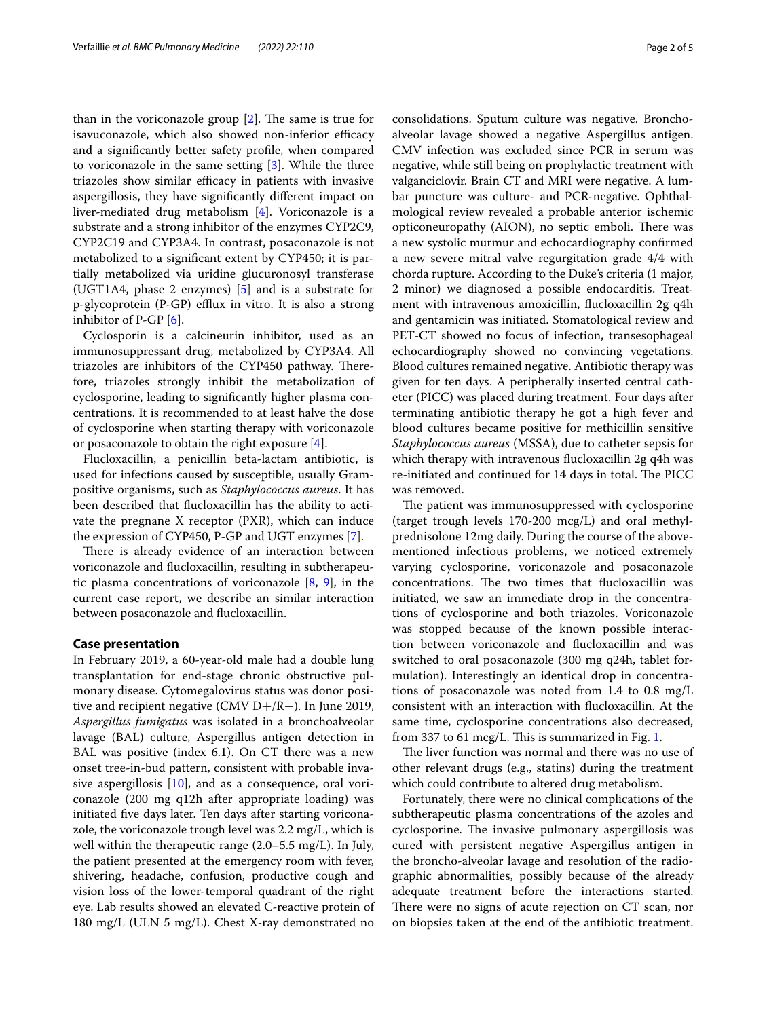than in the voriconazole group  $[2]$  $[2]$ . The same is true for isavuconazole, which also showed non-inferior efficacy and a signifcantly better safety profle, when compared to voriconazole in the same setting  $[3]$  $[3]$  $[3]$ . While the three triazoles show similar efficacy in patients with invasive aspergillosis, they have signifcantly diferent impact on liver-mediated drug metabolism [\[4](#page-4-0)]. Voriconazole is a substrate and a strong inhibitor of the enzymes CYP2C9, CYP2C19 and CYP3A4. In contrast, posaconazole is not metabolized to a signifcant extent by CYP450; it is partially metabolized via uridine glucuronosyl transferase (UGT1A4, phase 2 enzymes) [[5\]](#page-4-1) and is a substrate for p-glycoprotein (P-GP) efflux in vitro. It is also a strong inhibitor of P-GP [[6\]](#page-4-2).

Cyclosporin is a calcineurin inhibitor, used as an immunosuppressant drug, metabolized by CYP3A4. All triazoles are inhibitors of the CYP450 pathway. Therefore, triazoles strongly inhibit the metabolization of cyclosporine, leading to signifcantly higher plasma concentrations. It is recommended to at least halve the dose of cyclosporine when starting therapy with voriconazole or posaconazole to obtain the right exposure [\[4](#page-4-0)].

Flucloxacillin, a penicillin beta-lactam antibiotic, is used for infections caused by susceptible, usually Grampositive organisms, such as *Staphylococcus aureus*. It has been described that fucloxacillin has the ability to activate the pregnane X receptor (PXR), which can induce the expression of CYP450, P-GP and UGT enzymes [\[7](#page-4-3)].

There is already evidence of an interaction between voriconazole and fucloxacillin, resulting in subtherapeutic plasma concentrations of voriconazole [\[8,](#page-4-4) [9](#page-4-5)], in the current case report, we describe an similar interaction between posaconazole and fucloxacillin.

## **Case presentation**

In February 2019, a 60-year-old male had a double lung transplantation for end-stage chronic obstructive pulmonary disease. Cytomegalovirus status was donor positive and recipient negative (CMV D+/R−). In June 2019, *Aspergillus fumigatus* was isolated in a bronchoalveolar lavage (BAL) culture, Aspergillus antigen detection in BAL was positive (index 6.1). On CT there was a new onset tree-in-bud pattern, consistent with probable invasive aspergillosis [\[10\]](#page-4-6), and as a consequence, oral voriconazole (200 mg q12h after appropriate loading) was initiated fve days later. Ten days after starting voriconazole, the voriconazole trough level was 2.2 mg/L, which is well within the therapeutic range (2.0–5.5 mg/L). In July, the patient presented at the emergency room with fever, shivering, headache, confusion, productive cough and vision loss of the lower-temporal quadrant of the right eye. Lab results showed an elevated C-reactive protein of 180 mg/L (ULN 5 mg/L). Chest X-ray demonstrated no consolidations. Sputum culture was negative. Bronchoalveolar lavage showed a negative Aspergillus antigen. CMV infection was excluded since PCR in serum was negative, while still being on prophylactic treatment with valganciclovir. Brain CT and MRI were negative. A lumbar puncture was culture- and PCR-negative. Ophthalmological review revealed a probable anterior ischemic opticoneuropathy (AION), no septic emboli. There was a new systolic murmur and echocardiography confrmed a new severe mitral valve regurgitation grade 4/4 with chorda rupture. According to the Duke's criteria (1 major, 2 minor) we diagnosed a possible endocarditis. Treatment with intravenous amoxicillin, fucloxacillin 2g q4h and gentamicin was initiated. Stomatological review and PET-CT showed no focus of infection, transesophageal echocardiography showed no convincing vegetations. Blood cultures remained negative. Antibiotic therapy was given for ten days. A peripherally inserted central catheter (PICC) was placed during treatment. Four days after terminating antibiotic therapy he got a high fever and blood cultures became positive for methicillin sensitive *Staphylococcus aureus* (MSSA), due to catheter sepsis for which therapy with intravenous fucloxacillin 2g q4h was re-initiated and continued for 14 days in total. The PICC was removed.

The patient was immunosuppressed with cyclosporine (target trough levels 170-200 mcg/L) and oral methylprednisolone 12mg daily. During the course of the abovementioned infectious problems, we noticed extremely varying cyclosporine, voriconazole and posaconazole concentrations. The two times that flucloxacillin was initiated, we saw an immediate drop in the concentrations of cyclosporine and both triazoles. Voriconazole was stopped because of the known possible interaction between voriconazole and fucloxacillin and was switched to oral posaconazole (300 mg q24h, tablet formulation). Interestingly an identical drop in concentrations of posaconazole was noted from 1.4 to 0.8 mg/L consistent with an interaction with fucloxacillin. At the same time, cyclosporine concentrations also decreased, from 337 to 61 mcg/L. This is summarized in Fig. [1](#page-2-0).

The liver function was normal and there was no use of other relevant drugs (e.g., statins) during the treatment which could contribute to altered drug metabolism.

Fortunately, there were no clinical complications of the subtherapeutic plasma concentrations of the azoles and cyclosporine. The invasive pulmonary aspergillosis was cured with persistent negative Aspergillus antigen in the broncho-alveolar lavage and resolution of the radiographic abnormalities, possibly because of the already adequate treatment before the interactions started. There were no signs of acute rejection on CT scan, nor on biopsies taken at the end of the antibiotic treatment.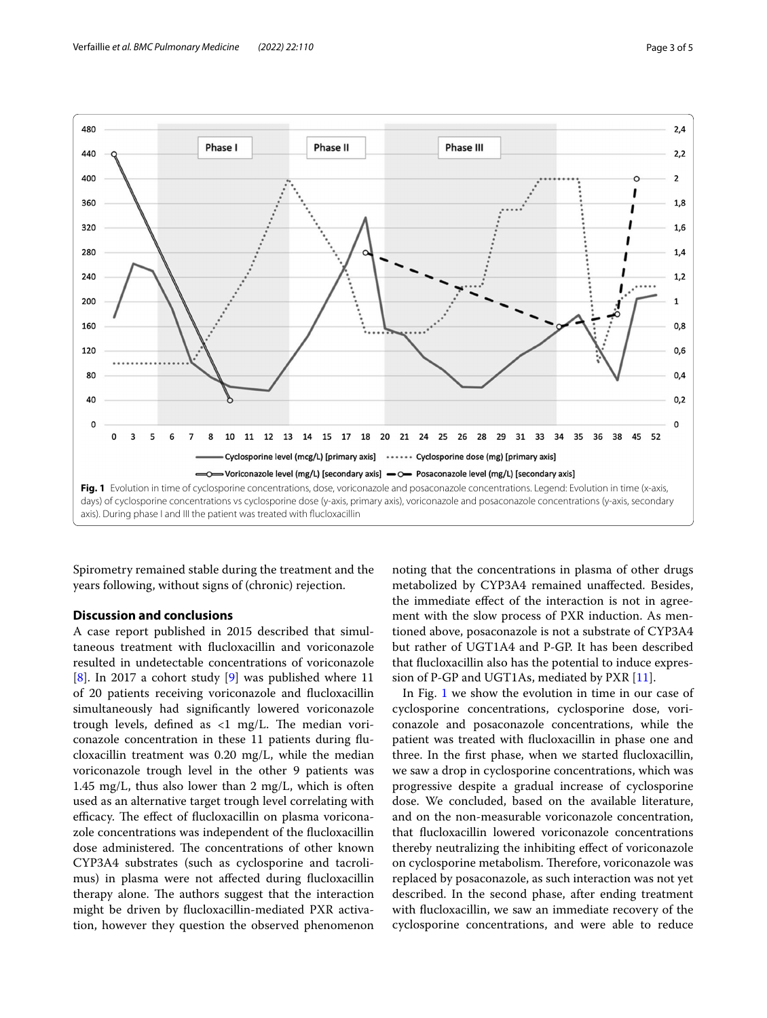

<span id="page-2-0"></span>Spirometry remained stable during the treatment and the years following, without signs of (chronic) rejection.

### **Discussion and conclusions**

A case report published in 2015 described that simultaneous treatment with fucloxacillin and voriconazole resulted in undetectable concentrations of voriconazole [[8\]](#page-4-4). In 2017 a cohort study [[9](#page-4-5)] was published where 11 of 20 patients receiving voriconazole and fucloxacillin simultaneously had signifcantly lowered voriconazole trough levels, defined as  $\langle 1 \rangle$  mg/L. The median voriconazole concentration in these 11 patients during fucloxacillin treatment was 0.20 mg/L, while the median voriconazole trough level in the other 9 patients was 1.45 mg/L, thus also lower than 2 mg/L, which is often used as an alternative target trough level correlating with efficacy. The effect of flucloxacillin on plasma voriconazole concentrations was independent of the fucloxacillin dose administered. The concentrations of other known CYP3A4 substrates (such as cyclosporine and tacrolimus) in plasma were not afected during fucloxacillin therapy alone. The authors suggest that the interaction might be driven by fucloxacillin-mediated PXR activation, however they question the observed phenomenon

noting that the concentrations in plasma of other drugs metabolized by CYP3A4 remained unafected. Besides, the immediate efect of the interaction is not in agreement with the slow process of PXR induction. As mentioned above, posaconazole is not a substrate of CYP3A4 but rather of UGT1A4 and P-GP. It has been described that fucloxacillin also has the potential to induce expression of P-GP and UGT1As, mediated by PXR [\[11](#page-4-7)].

In Fig. [1](#page-2-0) we show the evolution in time in our case of cyclosporine concentrations, cyclosporine dose, voriconazole and posaconazole concentrations, while the patient was treated with fucloxacillin in phase one and three. In the frst phase, when we started fucloxacillin, we saw a drop in cyclosporine concentrations, which was progressive despite a gradual increase of cyclosporine dose. We concluded, based on the available literature, and on the non-measurable voriconazole concentration, that fucloxacillin lowered voriconazole concentrations thereby neutralizing the inhibiting efect of voriconazole on cyclosporine metabolism. Therefore, voriconazole was replaced by posaconazole, as such interaction was not yet described. In the second phase, after ending treatment with fucloxacillin, we saw an immediate recovery of the cyclosporine concentrations, and were able to reduce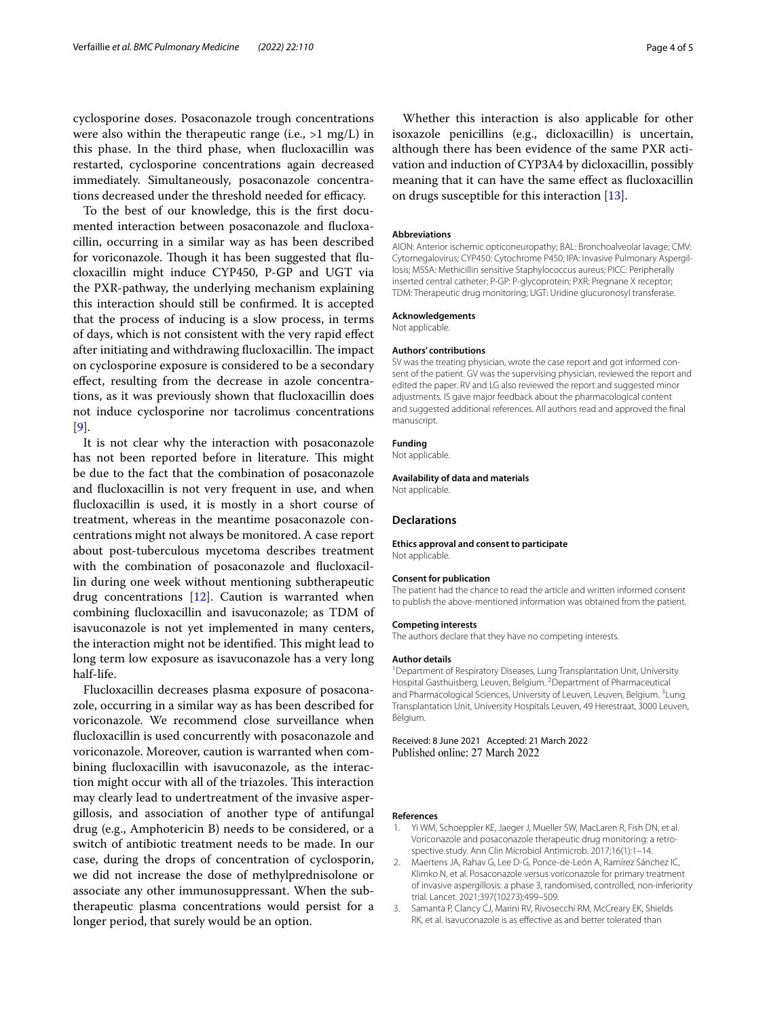cyclosporine doses. Posaconazole trough concentrations were also within the therapeutic range (i.e.,  $>1$  mg/L) in this phase. In the third phase, when fucloxacillin was restarted, cyclosporine concentrations again decreased immediately. Simultaneously, posaconazole concentrations decreased under the threshold needed for efficacy.

To the best of our knowledge, this is the frst documented interaction between posaconazole and fucloxacillin, occurring in a similar way as has been described for voriconazole. Though it has been suggested that flucloxacillin might induce CYP450, P-GP and UGT via the PXR-pathway, the underlying mechanism explaining this interaction should still be confrmed. It is accepted that the process of inducing is a slow process, in terms of days, which is not consistent with the very rapid efect after initiating and withdrawing flucloxacillin. The impact on cyclosporine exposure is considered to be a secondary efect, resulting from the decrease in azole concentrations, as it was previously shown that fucloxacillin does not induce cyclosporine nor tacrolimus concentrations [[9\]](#page-4-5).

It is not clear why the interaction with posaconazole has not been reported before in literature. This might be due to the fact that the combination of posaconazole and fucloxacillin is not very frequent in use, and when fucloxacillin is used, it is mostly in a short course of treatment, whereas in the meantime posaconazole concentrations might not always be monitored. A case report about post-tuberculous mycetoma describes treatment with the combination of posaconazole and fucloxacillin during one week without mentioning subtherapeutic drug concentrations [\[12](#page-4-8)]. Caution is warranted when combining fucloxacillin and isavuconazole; as TDM of isavuconazole is not yet implemented in many centers, the interaction might not be identified. This might lead to long term low exposure as isavuconazole has a very long half-life.

Flucloxacillin decreases plasma exposure of posaconazole, occurring in a similar way as has been described for voriconazole. We recommend close surveillance when fucloxacillin is used concurrently with posaconazole and voriconazole. Moreover, caution is warranted when combining fucloxacillin with isavuconazole, as the interaction might occur with all of the triazoles. This interaction may clearly lead to undertreatment of the invasive aspergillosis, and association of another type of antifungal drug (e.g., Amphotericin B) needs to be considered, or a switch of antibiotic treatment needs to be made. In our case, during the drops of concentration of cyclosporin, we did not increase the dose of methylprednisolone or associate any other immunosuppressant. When the subtherapeutic plasma concentrations would persist for a longer period, that surely would be an option.

Whether this interaction is also applicable for other isoxazole penicillins (e.g., dicloxacillin) is uncertain, although there has been evidence of the same PXR activation and induction of CYP3A4 by dicloxacillin, possibly meaning that it can have the same efect as fucloxacillin on drugs susceptible for this interaction [\[13](#page-4-9)].

#### **Abbreviations**

AION: Anterior ischemic opticoneuropathy; BAL: Bronchoalveolar lavage; CMV: Cytomegalovirus; CYP450: Cytochrome P450; IPA: Invasive Pulmonary Aspergillosis; MSSA: Methicillin sensitive Staphylococcus aureus; PICC: Peripherally inserted central catheter; P-GP: P-glycoprotein; PXR: Pregnane X receptor; TDM: Therapeutic drug monitoring; UGT: Uridine glucuronosyl transferase.

#### **Acknowledgements**

Not applicable.

#### **Authors' contributions**

SV was the treating physician, wrote the case report and got informed consent of the patient. GV was the supervising physician, reviewed the report and edited the paper. RV and LG also reviewed the report and suggested minor adjustments. IS gave major feedback about the pharmacological content and suggested additional references. All authors read and approved the fnal manuscript.

#### **Funding**

Not applicable.

#### **Availability of data and materials**

Not applicable.

#### **Declarations**

**Ethics approval and consent to participate** Not applicable.

#### **Consent for publication**

The patient had the chance to read the article and written informed consent to publish the above-mentioned information was obtained from the patient.

#### **Competing interests**

The authors declare that they have no competing interests.

#### **Author details**

<sup>1</sup> Department of Respiratory Diseases, Lung Transplantation Unit, University Hospital Gasthuisberg, Leuven, Belgium. <sup>2</sup> Department of Pharmaceutical and Pharmacological Sciences, University of Leuven, Leuven, Belgium. <sup>3</sup>Lung Transplantation Unit, University Hospitals Leuven, 49 Herestraat, 3000 Leuven, Belgium.

Received: 8 June 2021 Accepted: 21 March 2022 Published online: 27 March 2022

#### **References**

- <span id="page-3-0"></span>1. Yi WM, Schoeppler KE, Jaeger J, Mueller SW, MacLaren R, Fish DN, et al. Voriconazole and posaconazole therapeutic drug monitoring: a retrospective study. Ann Clin Microbiol Antimicrob. 2017;16(1):1–14.
- <span id="page-3-1"></span>2. Maertens JA, Rahav G, Lee D-G, Ponce-de-León A, Ramírez Sánchez IC, Klimko N, et al. Posaconazole versus voriconazole for primary treatment of invasive aspergillosis: a phase 3, randomised, controlled, non-inferiority trial. Lancet. 2021;397(10273):499–509.
- <span id="page-3-2"></span>3. Samanta P, Clancy CJ, Marini RV, Rivosecchi RM, McCreary EK, Shields RK, et al. Isavuconazole is as efective as and better tolerated than